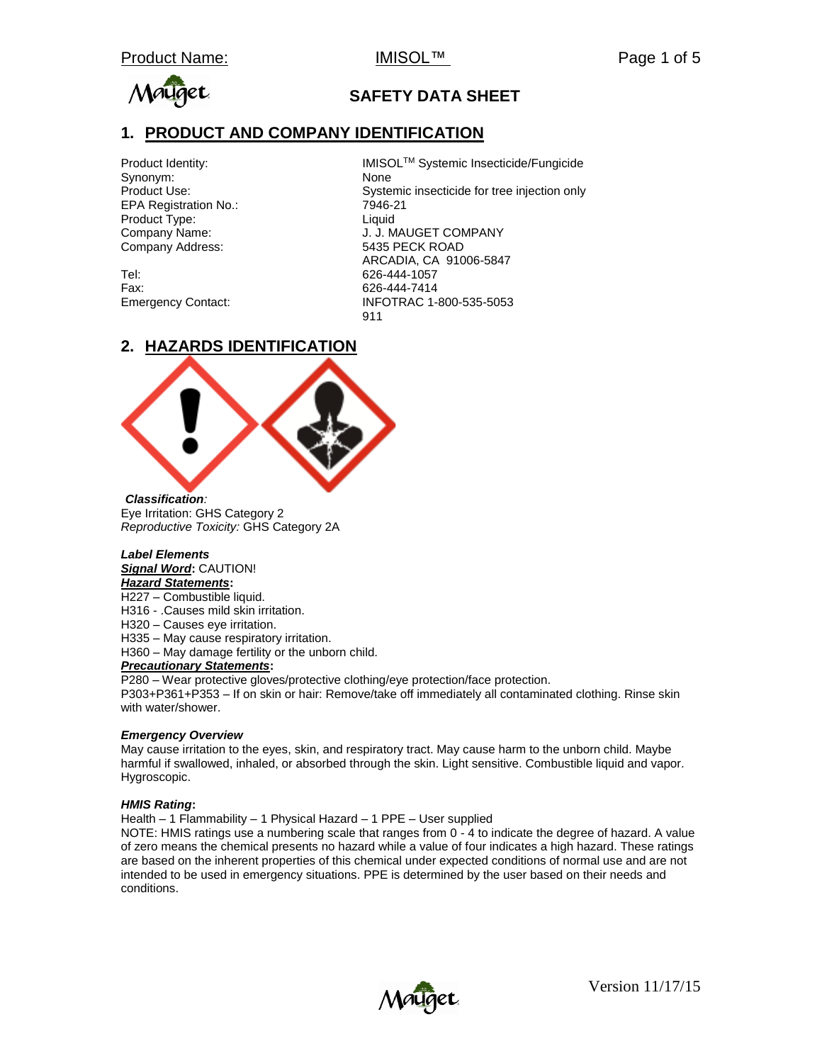

## **SAFETY DATA SHEET**

### **1. PRODUCT AND COMPANY IDENTIFICATION**

Synonym: None EPA Registration No.: 7946-21 Product Type: Liquid Company Address: 5435 PECK ROAD

Tel: 626-444-1057 Fax: 626-444-7414

Product Identity: interest in a limit in IMISOL™ Systemic Insecticide/Fungicide Product Use: Systemic insecticide for tree injection only Company Name: J. J. MAUGET COMPANY ARCADIA, CA 91006-5847 Emergency Contact: INFOTRAC 1-800-535-5053 911

#### **2. HAZARDS IDENTIFICATION**



*Classification:*  Eye Irritation: GHS Category 2 *Reproductive Toxicity:* GHS Category 2A

#### *Label Elements Signal Word***:** CAUTION! *Hazard Statements***:**

H227 – Combustible liquid.

H316 - .Causes mild skin irritation.

H320 – Causes eye irritation.

H335 – May cause respiratory irritation.

H360 – May damage fertility or the unborn child.

#### *Precautionary Statements***:**

P280 – Wear protective gloves/protective clothing/eye protection/face protection.

P303+P361+P353 – If on skin or hair: Remove/take off immediately all contaminated clothing. Rinse skin with water/shower.

#### *Emergency Overview*

May cause irritation to the eyes, skin, and respiratory tract. May cause harm to the unborn child. Maybe harmful if swallowed, inhaled, or absorbed through the skin. Light sensitive. Combustible liquid and vapor. Hygroscopic.

#### *HMIS Rating***:**

Health – 1 Flammability – 1 Physical Hazard – 1 PPE – User supplied

NOTE: HMIS ratings use a numbering scale that ranges from 0 - 4 to indicate the degree of hazard. A value of zero means the chemical presents no hazard while a value of four indicates a high hazard. These ratings are based on the inherent properties of this chemical under expected conditions of normal use and are not intended to be used in emergency situations. PPE is determined by the user based on their needs and conditions.

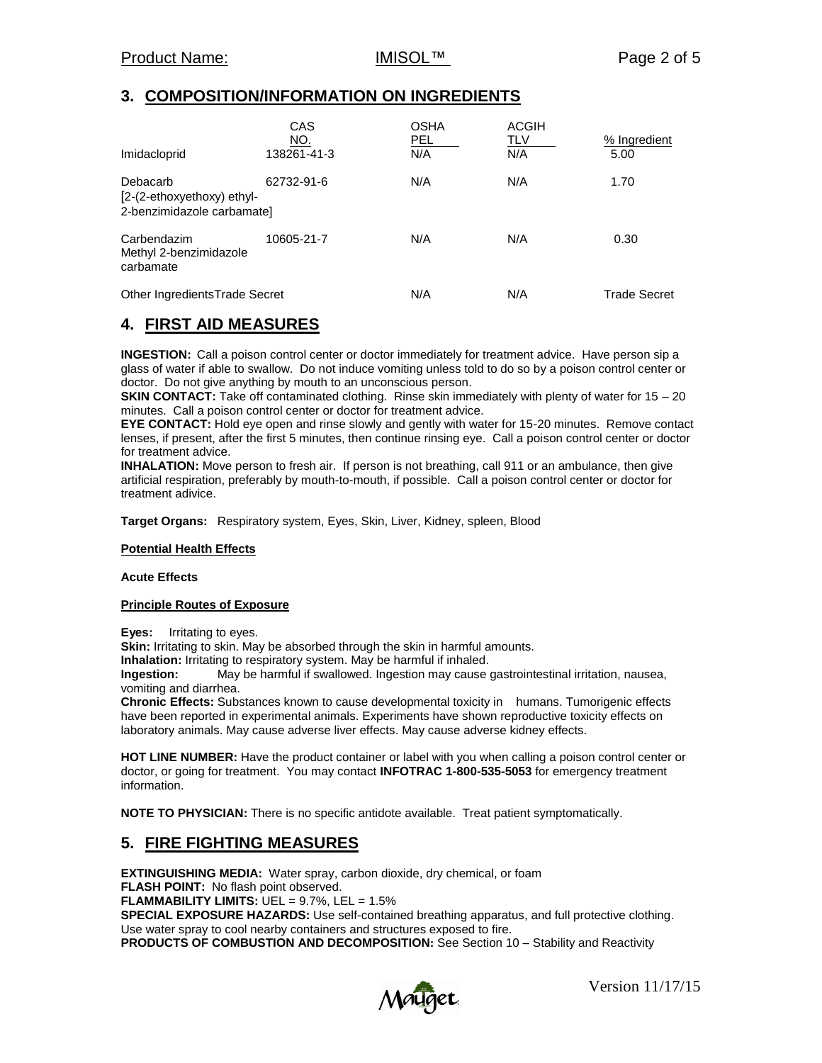### **3. COMPOSITION/INFORMATION ON INGREDIENTS**

| Imidacloprid                                                         | CAS<br>NO.<br>138261-41-3 | <b>OSHA</b><br>PEL.<br>N/A | <b>ACGIH</b><br>TLV<br>N/A | % Ingredient<br>5.00 |
|----------------------------------------------------------------------|---------------------------|----------------------------|----------------------------|----------------------|
| Debacarb<br>[2-(2-ethoxyethoxy) ethyl-<br>2-benzimidazole carbamate] | 62732-91-6                | N/A                        | N/A                        | 1.70                 |
| Carbendazim<br>Methyl 2-benzimidazole<br>carbamate                   | 10605-21-7                | N/A                        | N/A                        | 0.30                 |
| Other Ingredients Trade Secret                                       |                           | N/A                        | N/A                        | Trade Secret         |

## **4. FIRST AID MEASURES**

**INGESTION:** Call a poison control center or doctor immediately for treatment advice. Have person sip a glass of water if able to swallow. Do not induce vomiting unless told to do so by a poison control center or doctor. Do not give anything by mouth to an unconscious person.

**SKIN CONTACT:** Take off contaminated clothing. Rinse skin immediately with plenty of water for 15 – 20 minutes. Call a poison control center or doctor for treatment advice.

**EYE CONTACT:** Hold eye open and rinse slowly and gently with water for 15-20 minutes. Remove contact lenses, if present, after the first 5 minutes, then continue rinsing eye. Call a poison control center or doctor for treatment advice.

**INHALATION:** Move person to fresh air. If person is not breathing, call 911 or an ambulance, then give artificial respiration, preferably by mouth-to-mouth, if possible. Call a poison control center or doctor for treatment adivice.

**Target Organs:** Respiratory system, Eyes, Skin, Liver, Kidney, spleen, Blood

#### **Potential Health Effects**

**Acute Effects**

#### **Principle Routes of Exposure**

**Eyes:** Irritating to eyes.

**Skin:** Irritating to skin. May be absorbed through the skin in harmful amounts.

**Inhalation:** Irritating to respiratory system. May be harmful if inhaled.

**Ingestion:** May be harmful if swallowed. Ingestion may cause gastrointestinal irritation, nausea, vomiting and diarrhea.

**Chronic Effects:** Substances known to cause developmental toxicity in humans. Tumorigenic effects have been reported in experimental animals. Experiments have shown reproductive toxicity effects on laboratory animals. May cause adverse liver effects. May cause adverse kidney effects.

**HOT LINE NUMBER:** Have the product container or label with you when calling a poison control center or doctor, or going for treatment. You may contact **INFOTRAC 1-800-535-5053** for emergency treatment information.

**NOTE TO PHYSICIAN:** There is no specific antidote available. Treat patient symptomatically.

#### **5. FIRE FIGHTING MEASURES**

**EXTINGUISHING MEDIA:** Water spray, carbon dioxide, dry chemical, or foam **FLASH POINT:** No flash point observed. **FLAMMABILITY LIMITS:** UEL = 9.7%, LEL = 1.5% **SPECIAL EXPOSURE HAZARDS:** Use self-contained breathing apparatus, and full protective clothing. Use water spray to cool nearby containers and structures exposed to fire. **PRODUCTS OF COMBUSTION AND DECOMPOSITION:** See Section 10 – Stability and Reactivity

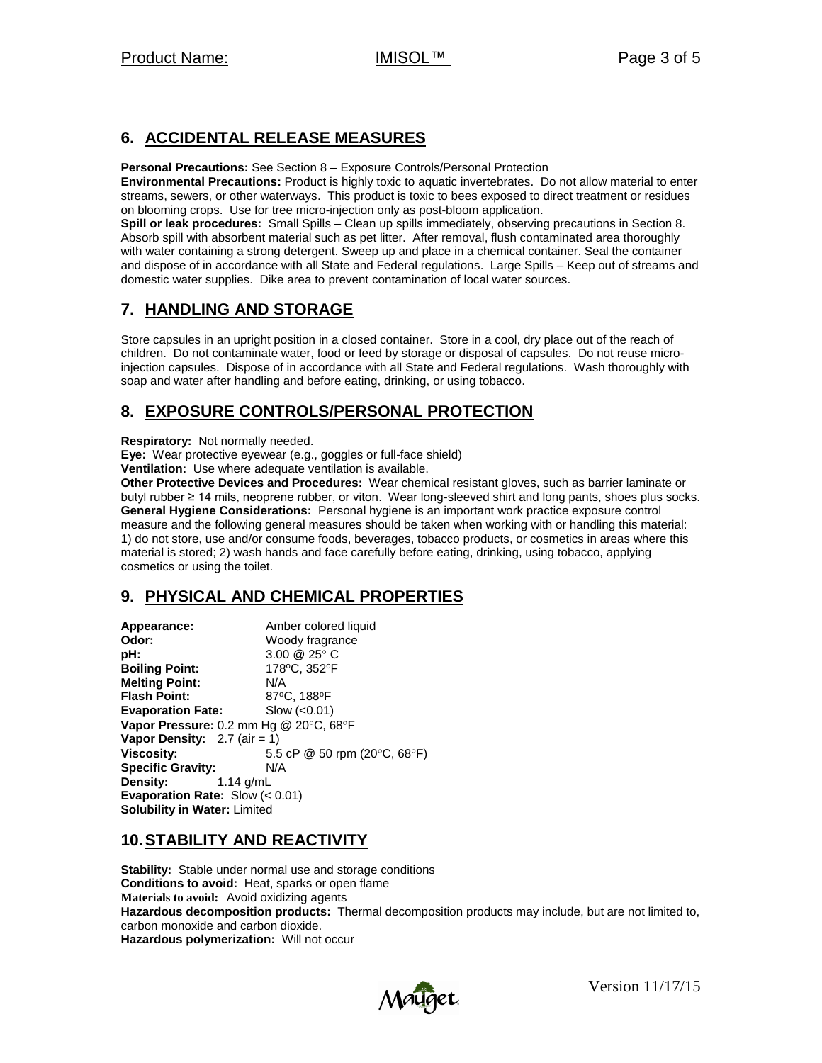## **6. ACCIDENTAL RELEASE MEASURES**

**Personal Precautions:** See Section 8 – Exposure Controls/Personal Protection

**Environmental Precautions:** Product is highly toxic to aquatic invertebrates. Do not allow material to enter streams, sewers, or other waterways. This product is toxic to bees exposed to direct treatment or residues on blooming crops. Use for tree micro-injection only as post-bloom application.

**Spill or leak procedures:** Small Spills – Clean up spills immediately, observing precautions in Section 8. Absorb spill with absorbent material such as pet litter. After removal, flush contaminated area thoroughly with water containing a strong detergent. Sweep up and place in a chemical container. Seal the container and dispose of in accordance with all State and Federal regulations. Large Spills – Keep out of streams and domestic water supplies. Dike area to prevent contamination of local water sources.

# **7. HANDLING AND STORAGE**

Store capsules in an upright position in a closed container. Store in a cool, dry place out of the reach of children. Do not contaminate water, food or feed by storage or disposal of capsules. Do not reuse microinjection capsules. Dispose of in accordance with all State and Federal regulations. Wash thoroughly with soap and water after handling and before eating, drinking, or using tobacco.

## **8. EXPOSURE CONTROLS/PERSONAL PROTECTION**

**Respiratory:** Not normally needed.

**Eye:** Wear protective eyewear (e.g., goggles or full-face shield)

**Ventilation:** Use where adequate ventilation is available.

**Other Protective Devices and Procedures:** Wear chemical resistant gloves, such as barrier laminate or butyl rubber ≥ 14 mils, neoprene rubber, or viton. Wear long-sleeved shirt and long pants, shoes plus socks. **General Hygiene Considerations:** Personal hygiene is an important work practice exposure control measure and the following general measures should be taken when working with or handling this material: 1) do not store, use and/or consume foods, beverages, tobacco products, or cosmetics in areas where this material is stored; 2) wash hands and face carefully before eating, drinking, using tobacco, applying cosmetics or using the toilet.

# **9. PHYSICAL AND CHEMICAL PROPERTIES**

**Appearance:** Amber colored liquid **Odor:** Woody fragrance **pH:** 3.00 @ 25° C **Boiling Point:** 178°C, 352°F **Melting Point:** N/A **Flash Point:** 87°C, 188°F **Evaporation Fate:** Slow (<0.01) Vapor Pressure: 0.2 mm Hg @ 20°C, 68°F **Vapor Density:**  $2.7$  (air = 1) **Viscosity:** 5.5 cP @ 50 rpm (20°C, 68°F) **Specific Gravity:** N/A **Density:** 1.14 g/mL **Evaporation Rate:** Slow (< 0.01) **Solubility in Water:** Limited

## **10.STABILITY AND REACTIVITY**

**Stability:** Stable under normal use and storage conditions **Conditions to avoid:** Heat, sparks or open flame **Materials to avoid:** Avoid oxidizing agents **Hazardous decomposition products:** Thermal decomposition products may include, but are not limited to, carbon monoxide and carbon dioxide. **Hazardous polymerization:** Will not occur

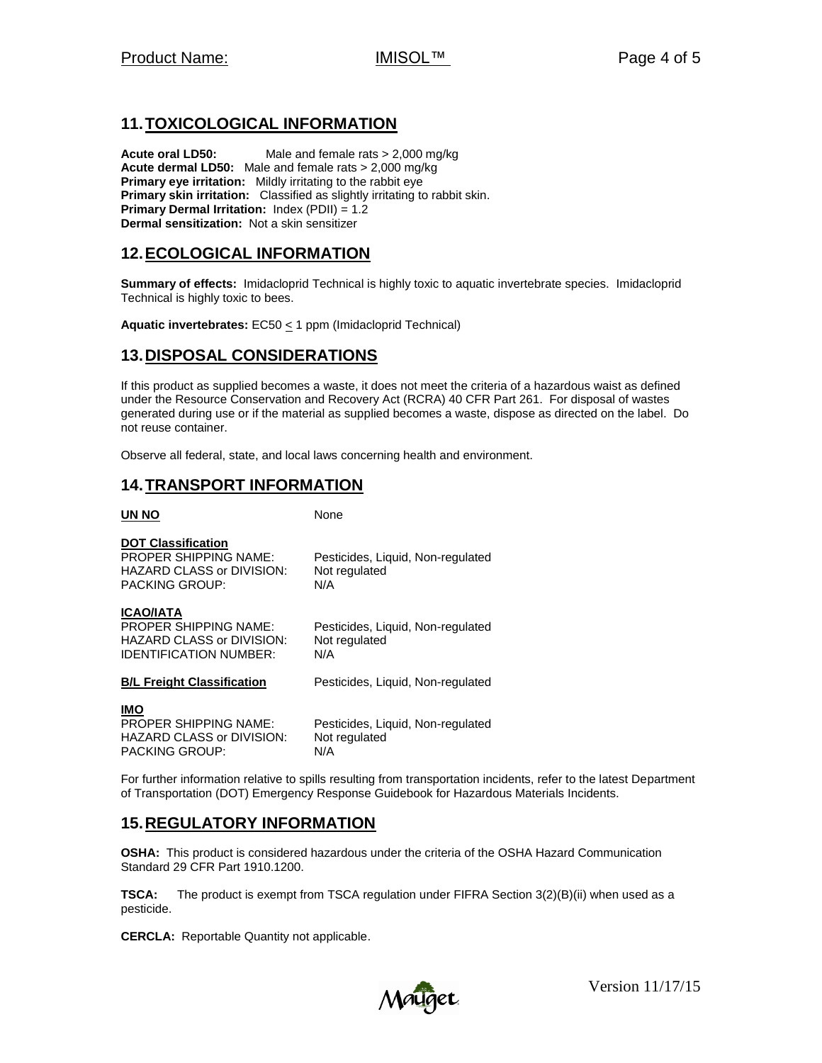## **11.TOXICOLOGICAL INFORMATION**

**Acute oral LD50:** Male and female rats > 2,000 mg/kg **Acute dermal LD50:** Male and female rats > 2,000 mg/kg **Primary eye irritation:** Mildly irritating to the rabbit eye **Primary skin irritation:** Classified as slightly irritating to rabbit skin. **Primary Dermal Irritation:** Index (PDII) = 1.2 **Dermal sensitization:** Not a skin sensitizer

### **12.ECOLOGICAL INFORMATION**

**Summary of effects:** Imidacloprid Technical is highly toxic to aquatic invertebrate species. Imidacloprid Technical is highly toxic to bees.

**Aquatic invertebrates:** EC50 < 1 ppm (Imidacloprid Technical)

#### **13.DISPOSAL CONSIDERATIONS**

If this product as supplied becomes a waste, it does not meet the criteria of a hazardous waist as defined under the Resource Conservation and Recovery Act (RCRA) 40 CFR Part 261. For disposal of wastes generated during use or if the material as supplied becomes a waste, dispose as directed on the label. Do not reuse container.

Observe all federal, state, and local laws concerning health and environment.

### **14.TRANSPORT INFORMATION**

**UN NO** None

#### **DOT Classification**

PROPER SHIPPING NAME: Pesticides, Liquid, Non-regulated HAZARD CLASS or DIVISION: Not regulated PACKING GROUP: N/A

#### **ICAO/IATA**

| <b>PROPER SHIPPING NAME:</b><br><b>HAZARD CLASS or DIVISION:</b><br><b>IDENTIFICATION NUMBER:</b> | Pesticides, Liquid, Non-regulated<br>Not regulated<br>N/A |
|---------------------------------------------------------------------------------------------------|-----------------------------------------------------------|
| <b>B/L Freight Classification</b>                                                                 | Pesticides, Liquid, Non-regulated                         |
| <b>IMO</b><br><b>PROPER SHIPPING NAME:</b><br>HAZARD CLASS or DIVISION:                           | Pesticides, Liquid, Non-regulated<br>Not regulated        |

For further information relative to spills resulting from transportation incidents, refer to the latest Department of Transportation (DOT) Emergency Response Guidebook for Hazardous Materials Incidents.

## **15.REGULATORY INFORMATION**

PACKING GROUP: N/A

**OSHA:** This product is considered hazardous under the criteria of the OSHA Hazard Communication Standard 29 CFR Part 1910.1200.

**TSCA:** The product is exempt from TSCA regulation under FIFRA Section 3(2)(B)(ii) when used as a pesticide.

**CERCLA:** Reportable Quantity not applicable.